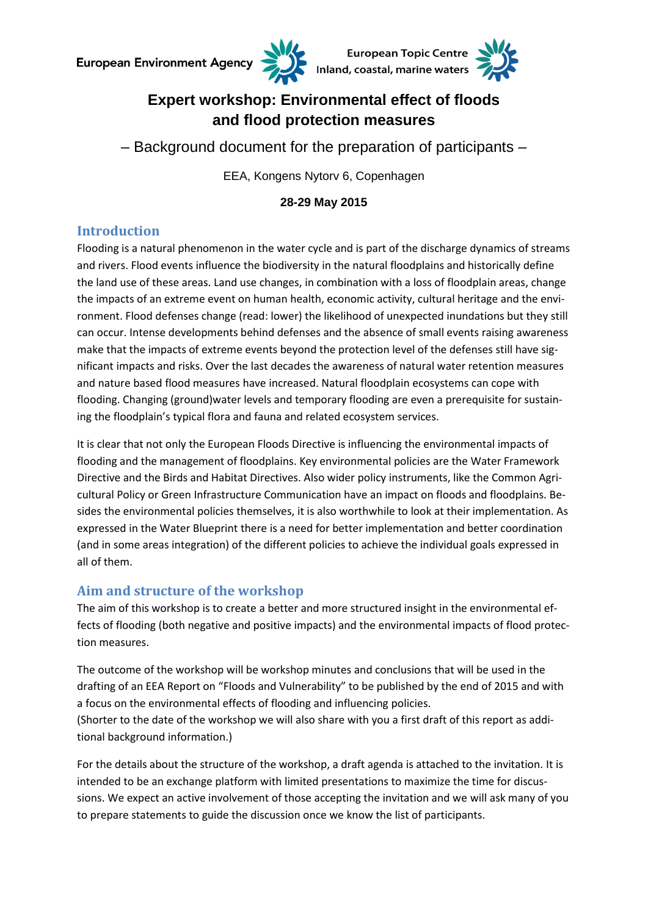



# **Expert workshop: Environmental effect of floods and flood protection measures**

– Background document for the preparation of participants –

EEA, Kongens Nytorv 6, Copenhagen

**28-29 May 2015**

## **Introduction**

Flooding is a natural phenomenon in the water cycle and is part of the discharge dynamics of streams and rivers. Flood events influence the biodiversity in the natural floodplains and historically define the land use of these areas. Land use changes, in combination with a loss of floodplain areas, change the impacts of an extreme event on human health, economic activity, cultural heritage and the environment. Flood defenses change (read: lower) the likelihood of unexpected inundations but they still can occur. Intense developments behind defenses and the absence of small events raising awareness make that the impacts of extreme events beyond the protection level of the defenses still have significant impacts and risks. Over the last decades the awareness of natural water retention measures and nature based flood measures have increased. Natural floodplain ecosystems can cope with flooding. Changing (ground)water levels and temporary flooding are even a prerequisite for sustaining the floodplain's typical flora and fauna and related ecosystem services.

It is clear that not only the European Floods Directive is influencing the environmental impacts of flooding and the management of floodplains. Key environmental policies are the Water Framework Directive and the Birds and Habitat Directives. Also wider policy instruments, like the Common Agricultural Policy or Green Infrastructure Communication have an impact on floods and floodplains. Besides the environmental policies themselves, it is also worthwhile to look at their implementation. As expressed in the Water Blueprint there is a need for better implementation and better coordination (and in some areas integration) of the different policies to achieve the individual goals expressed in all of them.

## **Aim and structure of the workshop**

The aim of this workshop is to create a better and more structured insight in the environmental effects of flooding (both negative and positive impacts) and the environmental impacts of flood protection measures.

The outcome of the workshop will be workshop minutes and conclusions that will be used in the drafting of an EEA Report on "Floods and Vulnerability" to be published by the end of 2015 and with a focus on the environmental effects of flooding and influencing policies. (Shorter to the date of the workshop we will also share with you a first draft of this report as additional background information.)

For the details about the structure of the workshop, a draft agenda is attached to the invitation. It is intended to be an exchange platform with limited presentations to maximize the time for discussions. We expect an active involvement of those accepting the invitation and we will ask many of you to prepare statements to guide the discussion once we know the list of participants.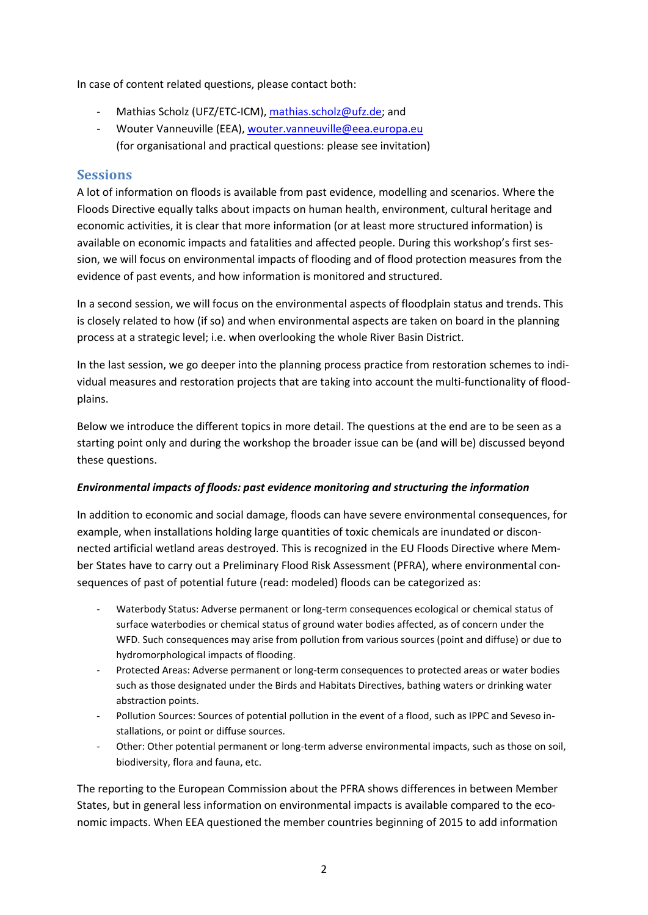In case of content related questions, please contact both:

- Mathias Scholz (UFZ/ETC-ICM)[, mathias.scholz@ufz.de;](mailto:mathias.scholz@ufz.de) and
- Wouter Vanneuville (EEA)[, wouter.vanneuville@eea.europa.eu](mailto:wouter.vanneuville@eea.europa.eu) (for organisational and practical questions: please see invitation)

#### **Sessions**

A lot of information on floods is available from past evidence, modelling and scenarios. Where the Floods Directive equally talks about impacts on human health, environment, cultural heritage and economic activities, it is clear that more information (or at least more structured information) is available on economic impacts and fatalities and affected people. During this workshop's first session, we will focus on environmental impacts of flooding and of flood protection measures from the evidence of past events, and how information is monitored and structured.

In a second session, we will focus on the environmental aspects of floodplain status and trends. This is closely related to how (if so) and when environmental aspects are taken on board in the planning process at a strategic level; i.e. when overlooking the whole River Basin District.

In the last session, we go deeper into the planning process practice from restoration schemes to individual measures and restoration projects that are taking into account the multi-functionality of floodplains.

Below we introduce the different topics in more detail. The questions at the end are to be seen as a starting point only and during the workshop the broader issue can be (and will be) discussed beyond these questions.

#### *Environmental impacts of floods: past evidence monitoring and structuring the information*

In addition to economic and social damage, floods can have severe environmental consequences, for example, when installations holding large quantities of toxic chemicals are inundated or disconnected artificial wetland areas destroyed. This is recognized in the EU Floods Directive where Member States have to carry out a Preliminary Flood Risk Assessment (PFRA), where environmental consequences of past of potential future (read: modeled) floods can be categorized as:

- Waterbody Status: Adverse permanent or long-term consequences ecological or chemical status of surface waterbodies or chemical status of ground water bodies affected, as of concern under the WFD. Such consequences may arise from pollution from various sources (point and diffuse) or due to hydromorphological impacts of flooding.
- Protected Areas: Adverse permanent or long-term consequences to protected areas or water bodies such as those designated under the Birds and Habitats Directives, bathing waters or drinking water abstraction points.
- Pollution Sources: Sources of potential pollution in the event of a flood, such as IPPC and Seveso installations, or point or diffuse sources.
- Other: Other potential permanent or long-term adverse environmental impacts, such as those on soil, biodiversity, flora and fauna, etc.

The reporting to the European Commission about the PFRA shows differences in between Member States, but in general less information on environmental impacts is available compared to the economic impacts. When EEA questioned the member countries beginning of 2015 to add information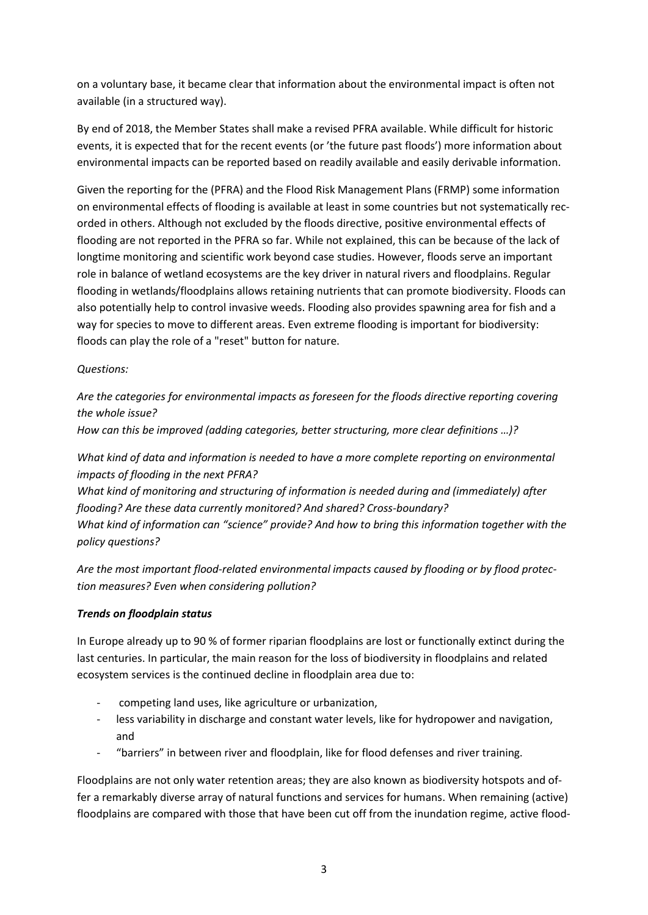on a voluntary base, it became clear that information about the environmental impact is often not available (in a structured way).

By end of 2018, the Member States shall make a revised PFRA available. While difficult for historic events, it is expected that for the recent events (or 'the future past floods') more information about environmental impacts can be reported based on readily available and easily derivable information.

Given the reporting for the (PFRA) and the Flood Risk Management Plans (FRMP) some information on environmental effects of flooding is available at least in some countries but not systematically recorded in others. Although not excluded by the floods directive, positive environmental effects of flooding are not reported in the PFRA so far. While not explained, this can be because of the lack of longtime monitoring and scientific work beyond case studies. However, floods serve an important role in balance of wetland ecosystems are the key driver in natural rivers and floodplains. Regular flooding in wetlands/floodplains allows retaining nutrients that can promote biodiversity. Floods can also potentially help to control invasive weeds. Flooding also provides spawning area for fish and a way for species to move to different areas. Even extreme flooding is important for biodiversity: floods can play the role of a "reset" button for nature.

#### *Questions:*

*Are the categories for environmental impacts as foreseen for the floods directive reporting covering the whole issue?*

*How can this be improved (adding categories, better structuring, more clear definitions …)?*

*What kind of data and information is needed to have a more complete reporting on environmental impacts of flooding in the next PFRA?* 

*What kind of monitoring and structuring of information is needed during and (immediately) after flooding? Are these data currently monitored? And shared? Cross-boundary? What kind of information can "science" provide? And how to bring this information together with the policy questions?*

*Are the most important flood-related environmental impacts caused by flooding or by flood protection measures? Even when considering pollution?*

#### *Trends on floodplain status*

In Europe already up to 90 % of former riparian floodplains are lost or functionally extinct during the last centuries. In particular, the main reason for the loss of biodiversity in floodplains and related ecosystem services is the continued decline in floodplain area due to:

- competing land uses, like agriculture or urbanization,
- less variability in discharge and constant water levels, like for hydropower and navigation, and
- "barriers" in between river and floodplain, like for flood defenses and river training.

Floodplains are not only water retention areas; they are also known as biodiversity hotspots and offer a remarkably diverse array of natural functions and services for humans. When remaining (active) floodplains are compared with those that have been cut off from the inundation regime, active flood-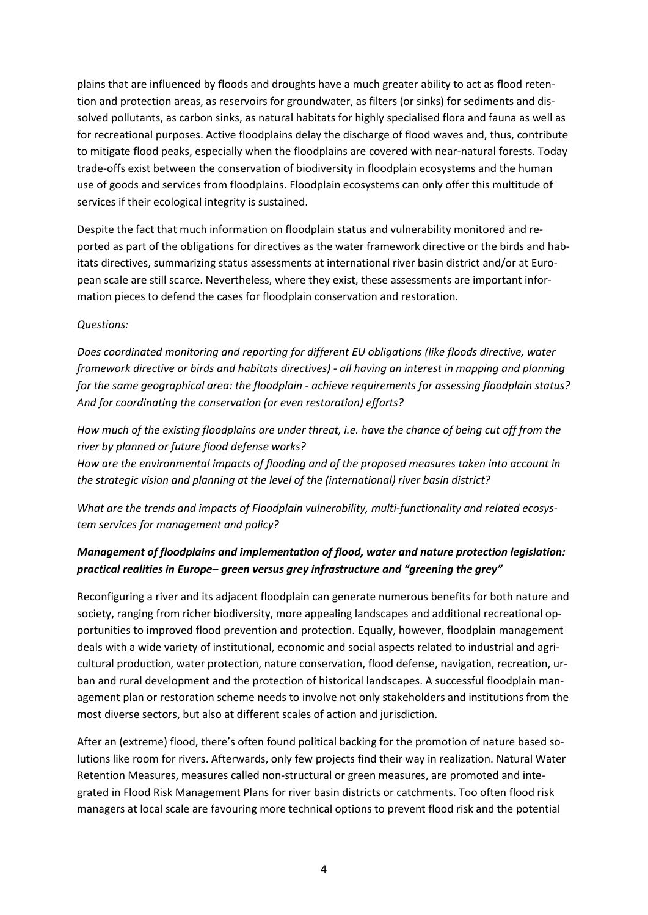plains that are influenced by floods and droughts have a much greater ability to act as flood retention and protection areas, as reservoirs for groundwater, as filters (or sinks) for sediments and dissolved pollutants, as carbon sinks, as natural habitats for highly specialised flora and fauna as well as for recreational purposes. Active floodplains delay the discharge of flood waves and, thus, contribute to mitigate flood peaks, especially when the floodplains are covered with near-natural forests. Today trade-offs exist between the conservation of biodiversity in floodplain ecosystems and the human use of goods and services from floodplains. Floodplain ecosystems can only offer this multitude of services if their ecological integrity is sustained.

Despite the fact that much information on floodplain status and vulnerability monitored and reported as part of the obligations for directives as the water framework directive or the birds and habitats directives, summarizing status assessments at international river basin district and/or at European scale are still scarce. Nevertheless, where they exist, these assessments are important information pieces to defend the cases for floodplain conservation and restoration.

#### *Questions:*

*Does coordinated monitoring and reporting for different EU obligations (like floods directive, water framework directive or birds and habitats directives) - all having an interest in mapping and planning for the same geographical area: the floodplain - achieve requirements for assessing floodplain status? And for coordinating the conservation (or even restoration) efforts?* 

*How much of the existing floodplains are under threat, i.e. have the chance of being cut off from the river by planned or future flood defense works?*

*How are the environmental impacts of flooding and of the proposed measures taken into account in the strategic vision and planning at the level of the (international) river basin district?*

*What are the trends and impacts of Floodplain vulnerability, multi-functionality and related ecosystem services for management and policy?*

### *Management of floodplains and implementation of flood, water and nature protection legislation: practical realities in Europe– green versus grey infrastructure and "greening the grey"*

Reconfiguring a river and its adjacent floodplain can generate numerous benefits for both nature and society, ranging from richer biodiversity, more appealing landscapes and additional recreational opportunities to improved flood prevention and protection. Equally, however, floodplain management deals with a wide variety of institutional, economic and social aspects related to industrial and agricultural production, water protection, nature conservation, flood defense, navigation, recreation, urban and rural development and the protection of historical landscapes. A successful floodplain management plan or restoration scheme needs to involve not only stakeholders and institutions from the most diverse sectors, but also at different scales of action and jurisdiction.

After an (extreme) flood, there's often found political backing for the promotion of nature based solutions like room for rivers. Afterwards, only few projects find their way in realization. Natural Water Retention Measures, measures called non-structural or green measures, are promoted and integrated in Flood Risk Management Plans for river basin districts or catchments. Too often flood risk managers at local scale are favouring more technical options to prevent flood risk and the potential